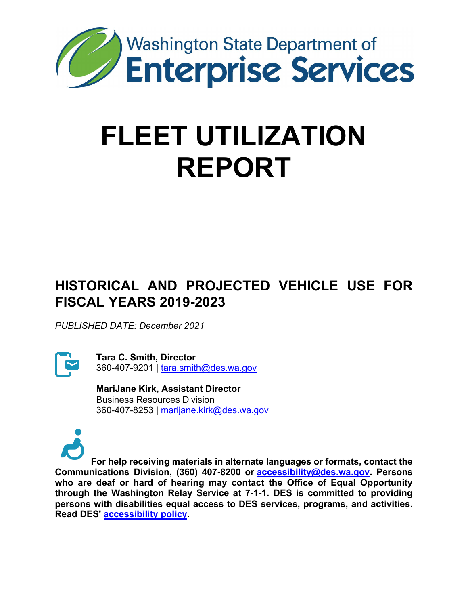

# **FLEET UTILIZATION REPORT**

# **HISTORICAL AND PROJECTED VEHICLE USE FOR FISCAL YEARS 2019-2023**

*PUBLISHED DATE: December 2021*



**Tara C. Smith, Director** 360-407-9201 | [tara.smith@des.wa.gov](mailto:tara.smith@des.wa.gov)

**MariJane Kirk, Assistant Director** Business Resources Division 360-407-8253 | [marijane.kirk@des.wa.gov](mailto:marijane.kirk@des.wa.gov)



**For help receiving materials in alternate languages or formats, contact the Communications Division, (360) 407-8200 or [accessibility@des.wa.gov.](mailto:accessibility@des.wa.gov) Persons who are deaf or hard of hearing may contact the Office of Equal Opportunity through the Washington Relay Service at 7-1-1. DES is committed to providing persons with disabilities equal access to DES services, programs, and activities. Read DES' [accessibility policy.](https://des.wa.gov/sites/default/files/public/documents/About/AboutDES/AccessibleTechnologyPolicy.pdf?=f56ab)**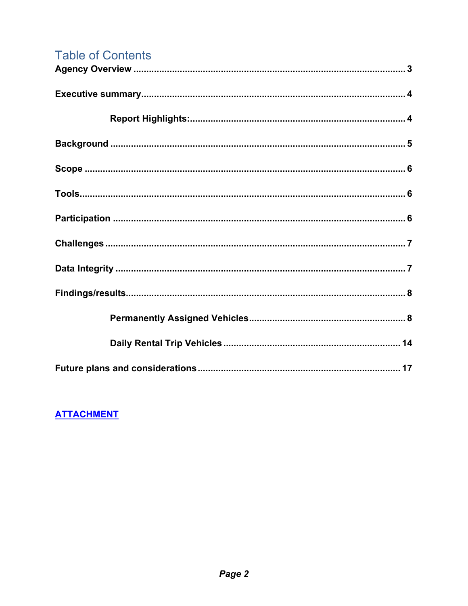# **Table of Contents**

# **ATTACHMENT**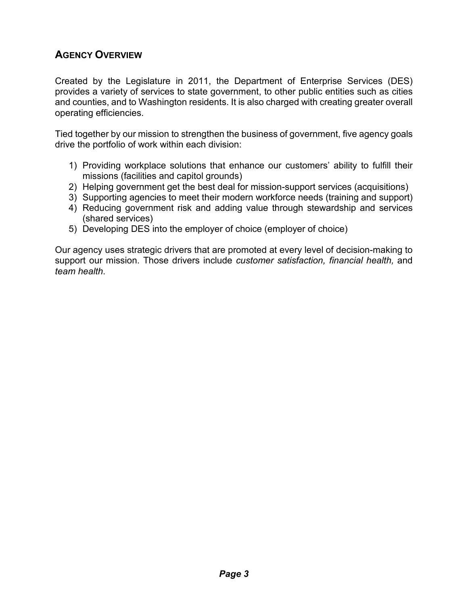# <span id="page-2-0"></span>**AGENCY OVERVIEW**

Created by the Legislature in 2011, the Department of Enterprise Services (DES) provides a variety of services to state government, to other public entities such as cities and counties, and to Washington residents. It is also charged with creating greater overall operating efficiencies.

Tied together by our mission to strengthen the business of government, five agency goals drive the portfolio of work within each division:

- 1) Providing workplace solutions that enhance our customers' ability to fulfill their missions (facilities and capitol grounds)
- 2) Helping government get the best deal for mission-support services (acquisitions)
- 3) Supporting agencies to meet their modern workforce needs (training and support)
- 4) Reducing government risk and adding value through stewardship and services (shared services)
- 5) Developing DES into the employer of choice (employer of choice)

Our agency uses strategic drivers that are promoted at every level of decision-making to support our mission. Those drivers include *customer satisfaction, financial health,* and *team health*.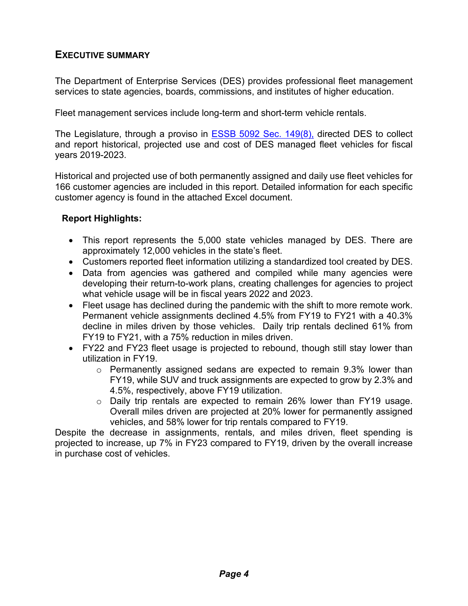#### <span id="page-3-0"></span>**EXECUTIVE SUMMARY**

The Department of Enterprise Services (DES) provides professional fleet management services to state agencies, boards, commissions, and institutes of higher education.

Fleet management services include long-term and short-term vehicle rentals.

The Legislature, through a proviso in **ESSB 5092 Sec. 149(8)**, directed DES to collect and report historical, projected use and cost of DES managed fleet vehicles for fiscal years 2019-2023.

Historical and projected use of both permanently assigned and daily use fleet vehicles for 166 customer agencies are included in this report. Detailed information for each specific customer agency is found in the attached Excel document.

#### <span id="page-3-1"></span>**Report Highlights:**

- This report represents the 5,000 state vehicles managed by DES. There are approximately 12,000 vehicles in the state's fleet.
- Customers reported fleet information utilizing a standardized tool created by DES.
- Data from agencies was gathered and compiled while many agencies were developing their return-to-work plans, creating challenges for agencies to project what vehicle usage will be in fiscal years 2022 and 2023.
- Fleet usage has declined during the pandemic with the shift to more remote work. Permanent vehicle assignments declined 4.5% from FY19 to FY21 with a 40.3% decline in miles driven by those vehicles. Daily trip rentals declined 61% from FY19 to FY21, with a 75% reduction in miles driven.
- FY22 and FY23 fleet usage is projected to rebound, though still stay lower than utilization in FY19.
	- $\circ$  Permanently assigned sedans are expected to remain 9.3% lower than FY19, while SUV and truck assignments are expected to grow by 2.3% and 4.5%, respectively, above FY19 utilization.
	- o Daily trip rentals are expected to remain 26% lower than FY19 usage. Overall miles driven are projected at 20% lower for permanently assigned vehicles, and 58% lower for trip rentals compared to FY19.

Despite the decrease in assignments, rentals, and miles driven, fleet spending is projected to increase, up 7% in FY23 compared to FY19, driven by the overall increase in purchase cost of vehicles.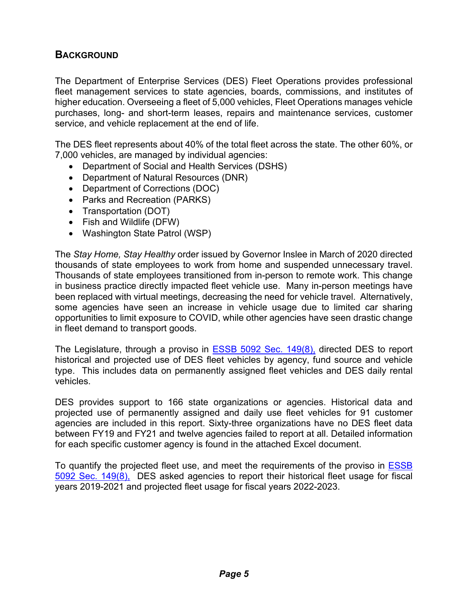## <span id="page-4-0"></span>**BACKGROUND**

The Department of Enterprise Services (DES) Fleet Operations provides professional fleet management services to state agencies, boards, commissions, and institutes of higher education. Overseeing a fleet of 5,000 vehicles, Fleet Operations manages vehicle purchases, long- and short-term leases, repairs and maintenance services, customer service, and vehicle replacement at the end of life.

The DES fleet represents about 40% of the total fleet across the state. The other 60%, or 7,000 vehicles, are managed by individual agencies:

- Department of Social and Health Services (DSHS)
- Department of Natural Resources (DNR)
- Department of Corrections (DOC)
- Parks and Recreation (PARKS)
- Transportation (DOT)
- Fish and Wildlife (DFW)
- Washington State Patrol (WSP)

The *Stay Home, Stay Healthy* order issued by Governor Inslee in March of 2020 directed thousands of state employees to work from home and suspended unnecessary travel. Thousands of state employees transitioned from in-person to remote work. This change in business practice directly impacted fleet vehicle use. Many in-person meetings have been replaced with virtual meetings, decreasing the need for vehicle travel. Alternatively, some agencies have seen an increase in vehicle usage due to limited car sharing opportunities to limit exposure to COVID, while other agencies have seen drastic change in fleet demand to transport goods.

The Legislature, through a proviso in [ESSB 5092 Sec. 149\(8\),](https://app.leg.wa.gov/billsummary?BillNumber=5092&Year=2021&Initiative=false) directed DES to report historical and projected use of DES fleet vehicles by agency, fund source and vehicle type. This includes data on permanently assigned fleet vehicles and DES daily rental vehicles.

DES provides support to 166 state organizations or agencies. Historical data and projected use of permanently assigned and daily use fleet vehicles for 91 customer agencies are included in this report. Sixty-three organizations have no DES fleet data between FY19 and FY21 and twelve agencies failed to report at all. Detailed information for each specific customer agency is found in the attached Excel document.

To quantify the projected fleet use, and meet the requirements of the proviso in [ESSB](https://app.leg.wa.gov/billsummary?BillNumber=5092&Year=2021&Initiative=false)  [5092 Sec. 149\(8\),](https://app.leg.wa.gov/billsummary?BillNumber=5092&Year=2021&Initiative=false) DES asked agencies to report their historical fleet usage for fiscal years 2019-2021 and projected fleet usage for fiscal years 2022-2023.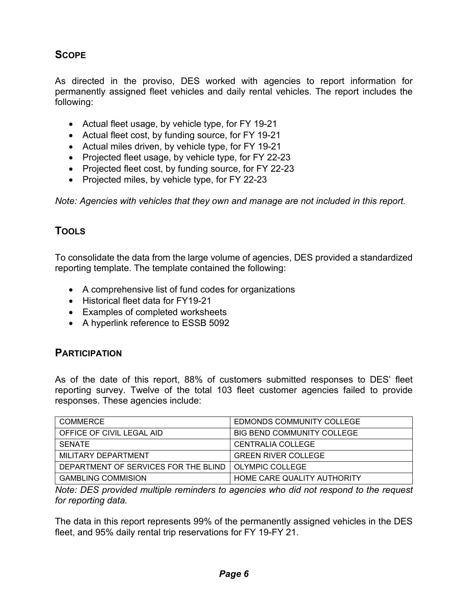# <span id="page-5-0"></span>**SCOPE**

As directed in the proviso, DES worked with agencies to report information for permanently assigned fleet vehicles and daily rental vehicles. The report includes the following:

- Actual fleet usage, by vehicle type, for FY 19-21
- Actual fleet cost, by funding source, for FY 19-21
- Actual miles driven, by vehicle type, for FY 19-21
- Projected fleet usage, by vehicle type, for FY 22-23
- Projected fleet cost, by funding source, for FY 22-23
- Projected miles, by vehicle type, for FY 22-23

<span id="page-5-1"></span>*Note: Agencies with vehicles that they own and manage are not included in this report.*

# **TOOLS**

To consolidate the data from the large volume of agencies, DES provided a standardized reporting template. The template contained the following:

- A comprehensive list of fund codes for organizations
- Historical fleet data for FY19-21
- Examples of completed worksheets
- <span id="page-5-2"></span>• A hyperlink reference to ESSB 5092

#### **PARTICIPATION**

As of the date of this report, 88% of customers submitted responses to DES' fleet reporting survey. Twelve of the total 103 fleet customer agencies failed to provide responses. These agencies include:

| COMMERCE                             | EDMONDS COMMUNITY COLLEGE   |
|--------------------------------------|-----------------------------|
| OFFICE OF CIVIL LEGAL AID            | BIG BEND COMMUNITY COLLEGE  |
| <b>SENATE</b>                        | CENTRALIA COLLEGE           |
| MILITARY DEPARTMENT                  | <b>GREEN RIVER COLLEGE</b>  |
| DEPARTMENT OF SERVICES FOR THE BLIND | l OLYMPIC COLLEGE           |
| <b>GAMBLING COMMISION</b>            | HOME CARE QUALITY AUTHORITY |

*Note: DES provided multiple reminders to agencies who did not respond to the request for reporting data.* 

The data in this report represents 99% of the permanently assigned vehicles in the DES fleet, and 95% daily rental trip reservations for FY 19-FY 21.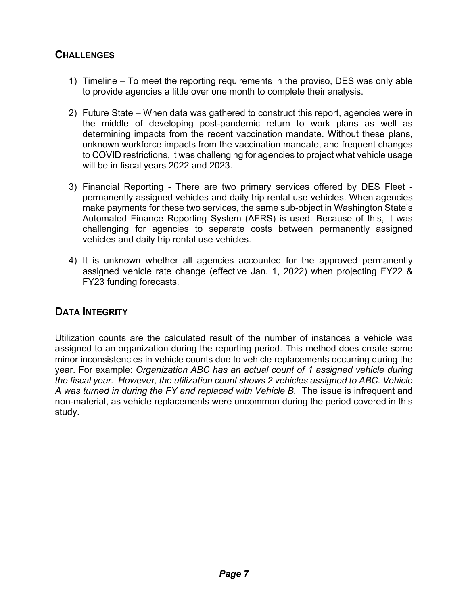### <span id="page-6-0"></span>**CHALLENGES**

- 1) Timeline To meet the reporting requirements in the proviso, DES was only able to provide agencies a little over one month to complete their analysis.
- 2) Future State When data was gathered to construct this report, agencies were in the middle of developing post-pandemic return to work plans as well as determining impacts from the recent vaccination mandate. Without these plans, unknown workforce impacts from the vaccination mandate, and frequent changes to COVID restrictions, it was challenging for agencies to project what vehicle usage will be in fiscal years 2022 and 2023.
- 3) Financial Reporting There are two primary services offered by DES Fleet permanently assigned vehicles and daily trip rental use vehicles. When agencies make payments for these two services, the same sub-object in Washington State's Automated Finance Reporting System (AFRS) is used. Because of this, it was challenging for agencies to separate costs between permanently assigned vehicles and daily trip rental use vehicles.
- 4) It is unknown whether all agencies accounted for the approved permanently assigned vehicle rate change (effective Jan. 1, 2022) when projecting FY22 & FY23 funding forecasts.

#### <span id="page-6-1"></span>**DATA INTEGRITY**

Utilization counts are the calculated result of the number of instances a vehicle was assigned to an organization during the reporting period. This method does create some minor inconsistencies in vehicle counts due to vehicle replacements occurring during the year. For example: *Organization ABC has an actual count of 1 assigned vehicle during the fiscal year. However, the utilization count shows 2 vehicles assigned to ABC. Vehicle A was turned in during the FY and replaced with Vehicle B.* The issue is infrequent and non-material, as vehicle replacements were uncommon during the period covered in this study.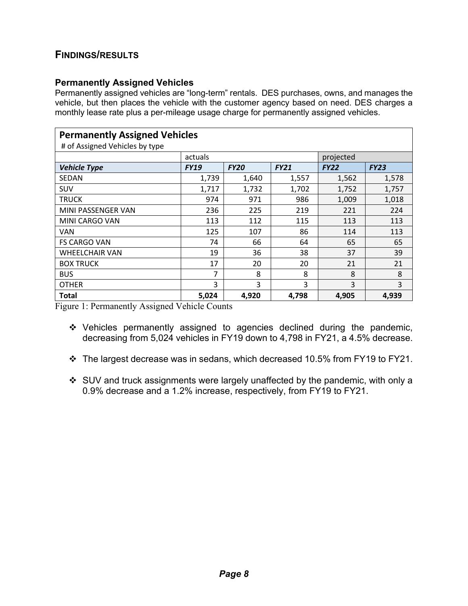#### <span id="page-7-0"></span>**FINDINGS/RESULTS**

#### <span id="page-7-1"></span>**Permanently Assigned Vehicles**

Permanently assigned vehicles are "long-term" rentals. DES purchases, owns, and manages the vehicle, but then places the vehicle with the customer agency based on need. DES charges a monthly lease rate plus a per-mileage usage charge for permanently assigned vehicles.

| <b>Permanently Assigned Vehicles</b><br># of Assigned Vehicles by type |             |             |             |             |             |  |
|------------------------------------------------------------------------|-------------|-------------|-------------|-------------|-------------|--|
|                                                                        | actuals     |             |             | projected   |             |  |
| <b>Vehicle Type</b>                                                    | <b>FY19</b> | <b>FY20</b> | <b>FY21</b> | <b>FY22</b> | <b>FY23</b> |  |
| <b>SEDAN</b>                                                           | 1,739       | 1,640       | 1,557       | 1,562       | 1,578       |  |
| SUV                                                                    | 1,717       | 1,732       | 1,702       | 1,752       | 1,757       |  |
| <b>TRUCK</b>                                                           | 974         | 971         | 986         | 1,009       | 1,018       |  |
| MINI PASSENGER VAN                                                     | 236         | 225         | 219         | 221         | 224         |  |
| MINI CARGO VAN                                                         | 113         | 112         | 115         | 113         | 113         |  |
| <b>VAN</b>                                                             | 125         | 107         | 86          | 114         | 113         |  |
| <b>FS CARGO VAN</b>                                                    | 74          | 66          | 64          | 65          | 65          |  |
| <b>WHEELCHAIR VAN</b>                                                  | 19          | 36          | 38          | 37          | 39          |  |
| <b>BOX TRUCK</b>                                                       | 17          | 20          | 20          | 21          | 21          |  |
| <b>BUS</b>                                                             | 7           | 8           | 8           | 8           | 8           |  |
| <b>OTHER</b>                                                           | 3           | 3           | 3           | 3           | 3           |  |
| <b>Total</b>                                                           | 5,024       | 4,920       | 4,798       | 4,905       | 4,939       |  |

Figure 1: Permanently Assigned Vehicle Counts

- Vehicles permanently assigned to agencies declined during the pandemic, decreasing from 5,024 vehicles in FY19 down to 4,798 in FY21, a 4.5% decrease.
- The largest decrease was in sedans, which decreased 10.5% from FY19 to FY21.
- SUV and truck assignments were largely unaffected by the pandemic, with only a 0.9% decrease and a 1.2% increase, respectively, from FY19 to FY21.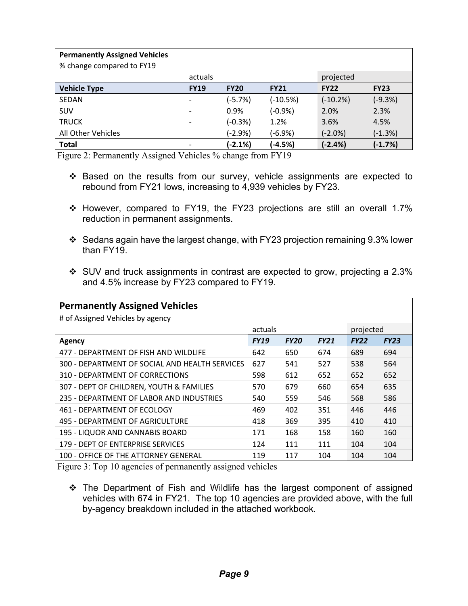| <b>Permanently Assigned Vehicles</b> |             |             |             |             |             |
|--------------------------------------|-------------|-------------|-------------|-------------|-------------|
| % change compared to FY19            |             |             |             |             |             |
|                                      | actuals     |             |             | projected   |             |
| <b>Vehicle Type</b>                  | <b>FY19</b> | <b>FY20</b> | <b>FY21</b> | <b>FY22</b> | <b>FY23</b> |
| SEDAN                                |             | $(-5.7%)$   | $(-10.5%)$  | $(-10.2%)$  | $(-9.3%)$   |
| SUV                                  |             | $0.9\%$     | $(-0.9%)$   | 2.0%        | 2.3%        |
| <b>TRUCK</b>                         |             | $(-0.3%)$   | 1.2%        | 3.6%        | 4.5%        |
| All Other Vehicles                   |             | (-2.9%)     | $(-6.9%)$   | $(-2.0%)$   | (-1.3%)     |
| <b>Total</b>                         |             | (-2.1%)     | $(-4.5%)$   | $(-2.4%)$   | $(-1.7%)$   |

Figure 2: Permanently Assigned Vehicles % change from FY19

- Based on the results from our survey, vehicle assignments are expected to rebound from FY21 lows, increasing to 4,939 vehicles by FY23.
- \* However, compared to FY19, the FY23 projections are still an overall 1.7% reduction in permanent assignments.
- Sedans again have the largest change, with FY23 projection remaining 9.3% lower than FY19.
- SUV and truck assignments in contrast are expected to grow, projecting a 2.3% and 4.5% increase by FY23 compared to FY19.

| <b>Permanently Assigned Vehicles</b>           |             |             |             |             |             |  |
|------------------------------------------------|-------------|-------------|-------------|-------------|-------------|--|
| # of Assigned Vehicles by agency               |             |             |             |             |             |  |
|                                                | actuals     |             |             | projected   |             |  |
| Agency                                         | <b>FY19</b> | <b>FY20</b> | <b>FY21</b> | <b>FY22</b> | <b>FY23</b> |  |
| 477 - DEPARTMENT OF FISH AND WILDLIFE          | 642         | 650         | 674         | 689         | 694         |  |
| 300 - DEPARTMENT OF SOCIAL AND HEALTH SERVICES | 627         | 541         | 527         | 538         | 564         |  |
| 310 - DEPARTMENT OF CORRECTIONS                | 598         | 612         | 652         | 652         | 652         |  |
| 307 - DEPT OF CHILDREN, YOUTH & FAMILIES       | 570         | 679         | 660         | 654         | 635         |  |
| 235 - DEPARTMENT OF LABOR AND INDUSTRIES       | 540         | 559         | 546         | 568         | 586         |  |
| 461 - DEPARTMENT OF ECOLOGY                    | 469         | 402         | 351         | 446         | 446         |  |
| 495 - DEPARTMENT OF AGRICULTURE                | 418         | 369         | 395         | 410         | 410         |  |
| 195 - LIQUOR AND CANNABIS BOARD                | 171         | 168         | 158         | 160         | 160         |  |
| 179 - DEPT OF ENTERPRISE SERVICES              | 124         | 111         | 111         | 104         | 104         |  |
| 100 - OFFICE OF THE ATTORNEY GENERAL           | 119         | 117         | 104         | 104         | 104         |  |

Figure 3: Top 10 agencies of permanently assigned vehicles

 The Department of Fish and Wildlife has the largest component of assigned vehicles with 674 in FY21. The top 10 agencies are provided above, with the full by-agency breakdown included in the attached workbook.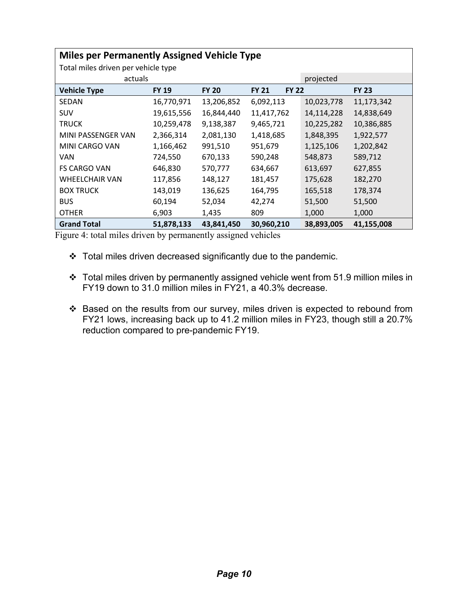| <b>Miles per Permanently Assigned Vehicle Type</b> |              |              |                              |            |              |  |  |  |
|----------------------------------------------------|--------------|--------------|------------------------------|------------|--------------|--|--|--|
| Total miles driven per vehicle type                |              |              |                              |            |              |  |  |  |
| actuals                                            |              |              |                              | projected  |              |  |  |  |
| <b>Vehicle Type</b>                                | <b>FY 19</b> | <b>FY 20</b> | <b>FY 21</b><br><b>FY 22</b> |            | <b>FY 23</b> |  |  |  |
| <b>SEDAN</b>                                       | 16,770,971   | 13,206,852   | 6,092,113                    | 10,023,778 | 11,173,342   |  |  |  |
| <b>SUV</b>                                         | 19,615,556   | 16,844,440   | 11,417,762                   | 14,114,228 | 14,838,649   |  |  |  |
| <b>TRUCK</b>                                       | 10,259,478   | 9,138,387    | 9,465,721                    | 10,225,282 | 10,386,885   |  |  |  |
| MINI PASSENGER VAN                                 | 2,366,314    | 2,081,130    | 1,418,685                    | 1,848,395  | 1,922,577    |  |  |  |
| MINI CARGO VAN                                     | 1,166,462    | 991,510      | 951,679                      | 1,125,106  | 1,202,842    |  |  |  |
| <b>VAN</b>                                         | 724,550      | 670,133      | 590,248                      | 548,873    | 589,712      |  |  |  |
| <b>FS CARGO VAN</b>                                | 646,830      | 570,777      | 634,667                      | 613,697    | 627,855      |  |  |  |
| <b>WHEELCHAIR VAN</b>                              | 117,856      | 148,127      | 181,457                      | 175,628    | 182,270      |  |  |  |
| <b>BOX TRUCK</b>                                   | 143,019      | 136,625      | 164,795                      | 165,518    | 178,374      |  |  |  |
| <b>BUS</b>                                         | 60,194       | 52,034       | 42,274                       | 51,500     | 51,500       |  |  |  |
| <b>OTHER</b>                                       | 6,903        | 1,435        | 809                          | 1,000      | 1,000        |  |  |  |
| <b>Grand Total</b>                                 | 51,878,133   | 43,841,450   | 30,960,210                   | 38,893,005 | 41,155,008   |  |  |  |

Figure 4: total miles driven by permanently assigned vehicles

- Total miles driven decreased significantly due to the pandemic.
- Total miles driven by permanently assigned vehicle went from 51.9 million miles in FY19 down to 31.0 million miles in FY21, a 40.3% decrease.
- Based on the results from our survey, miles driven is expected to rebound from FY21 lows, increasing back up to 41.2 million miles in FY23, though still a 20.7% reduction compared to pre-pandemic FY19.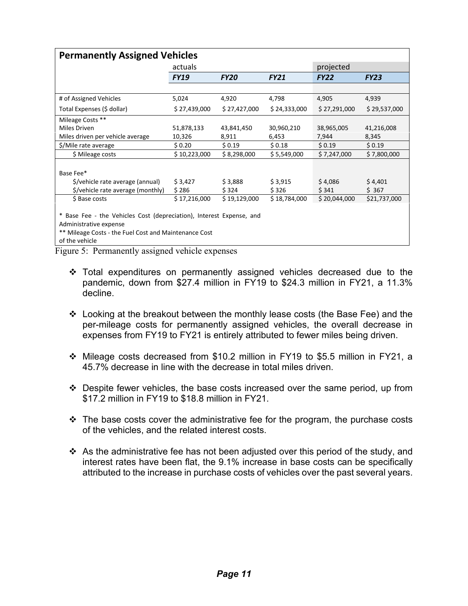| <b>Permanently Assigned Vehicles</b>                                                                                                                                      |              |              |              |              |              |  |  |
|---------------------------------------------------------------------------------------------------------------------------------------------------------------------------|--------------|--------------|--------------|--------------|--------------|--|--|
|                                                                                                                                                                           | actuals      |              |              | projected    |              |  |  |
|                                                                                                                                                                           | <b>FY19</b>  | <b>FY20</b>  | <b>FY21</b>  | <b>FY22</b>  | <b>FY23</b>  |  |  |
|                                                                                                                                                                           |              |              |              |              |              |  |  |
| # of Assigned Vehicles                                                                                                                                                    | 5,024        | 4,920        | 4,798        | 4,905        | 4,939        |  |  |
| Total Expenses (\$ dollar)                                                                                                                                                | \$27,439,000 | \$27,427,000 | \$24,333,000 | \$27,291,000 | \$29,537,000 |  |  |
| Mileage Costs **                                                                                                                                                          |              |              |              |              |              |  |  |
| Miles Driven                                                                                                                                                              | 51,878,133   | 43,841,450   | 30,960,210   | 38,965,005   | 41,216,008   |  |  |
| Miles driven per vehicle average                                                                                                                                          | 10,326       | 8,911        | 6,453        | 7,944        | 8,345        |  |  |
| \$/Mile rate average                                                                                                                                                      | \$0.20       | \$0.19       | \$0.18       | \$0.19       | \$0.19       |  |  |
| \$ Mileage costs                                                                                                                                                          | \$10,223,000 | \$8,298,000  | \$5,549,000  | \$7,247,000  | \$7,800,000  |  |  |
|                                                                                                                                                                           |              |              |              |              |              |  |  |
| Base Fee*                                                                                                                                                                 |              |              |              |              |              |  |  |
| \$/vehicle rate average (annual)                                                                                                                                          | \$3,427      | \$3,888      | \$3,915      | \$4,086      | \$4,401      |  |  |
| \$/vehicle rate average (monthly)                                                                                                                                         | \$286        | \$324        | \$326        | \$341        | \$367        |  |  |
| \$ Base costs                                                                                                                                                             | \$17,216,000 | \$19,129,000 | \$18,784,000 | \$20,044,000 | \$21,737,000 |  |  |
| * Base Fee - the Vehicles Cost (depreciation), Interest Expense, and<br>Administrative expense<br>** Mileage Costs - the Fuel Cost and Maintenance Cost<br>of the vehicle |              |              |              |              |              |  |  |

Figure 5: Permanently assigned vehicle expenses

- $\div$  Total expenditures on permanently assigned vehicles decreased due to the pandemic, down from \$27.4 million in FY19 to \$24.3 million in FY21, a 11.3% decline.
- Looking at the breakout between the monthly lease costs (the Base Fee) and the per-mileage costs for permanently assigned vehicles, the overall decrease in expenses from FY19 to FY21 is entirely attributed to fewer miles being driven.
- Mileage costs decreased from \$10.2 million in FY19 to \$5.5 million in FY21, a 45.7% decrease in line with the decrease in total miles driven.
- $\div$  Despite fewer vehicles, the base costs increased over the same period, up from \$17.2 million in FY19 to \$18.8 million in FY21.
- $\cdot \cdot$  The base costs cover the administrative fee for the program, the purchase costs of the vehicles, and the related interest costs.
- As the administrative fee has not been adjusted over this period of the study, and interest rates have been flat, the 9.1% increase in base costs can be specifically attributed to the increase in purchase costs of vehicles over the past several years.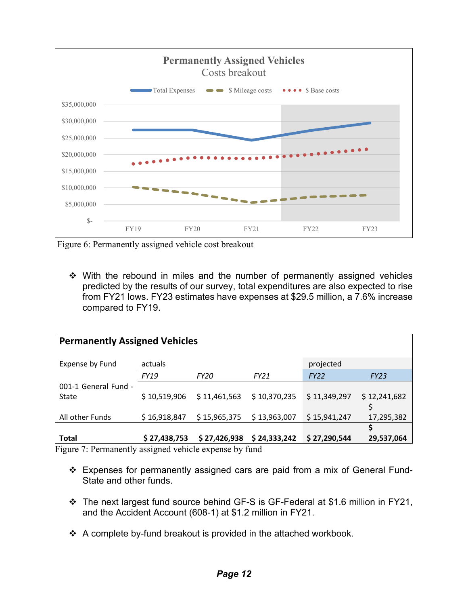

Figure 6: Permanently assigned vehicle cost breakout

• With the rebound in miles and the number of permanently assigned vehicles predicted by the results of our survey, total expenditures are also expected to rise from FY21 lows. FY23 estimates have expenses at \$29.5 million, a 7.6% increase compared to FY19.

| <b>Permanently Assigned Vehicles</b> |              |              |              |              |              |  |  |
|--------------------------------------|--------------|--------------|--------------|--------------|--------------|--|--|
| <b>Expense by Fund</b>               | actuals      |              |              | projected    |              |  |  |
|                                      | FY19         | <b>FY20</b>  | FY21         | <b>FY22</b>  | <b>FY23</b>  |  |  |
| 001-1 General Fund -                 |              |              |              |              |              |  |  |
| State                                | \$10,519,906 | \$11,461,563 | \$10,370,235 | \$11,349,297 | \$12,241,682 |  |  |
| All other Funds                      | \$16,918,847 | \$15,965,375 | \$13,963,007 | \$15,941,247 | 17,295,382   |  |  |
|                                      |              |              |              |              | \$           |  |  |
| Total                                | \$27,438,753 | \$27,426,938 | \$24,333,242 | \$27,290,544 | 29,537,064   |  |  |

Figure 7: Permanently assigned vehicle expense by fund

- Expenses for permanently assigned cars are paid from a mix of General Fund-State and other funds.
- The next largest fund source behind GF-S is GF-Federal at \$1.6 million in FY21, and the Accident Account (608-1) at \$1.2 million in FY21.
- $\div$  A complete by-fund breakout is provided in the attached workbook.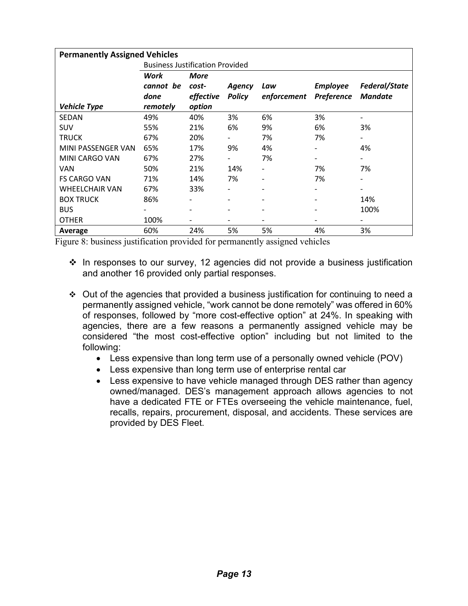| <b>Permanently Assigned Vehicles</b> |                                        |             |                          |                              |                 |                          |  |
|--------------------------------------|----------------------------------------|-------------|--------------------------|------------------------------|-----------------|--------------------------|--|
|                                      | <b>Business Justification Provided</b> |             |                          |                              |                 |                          |  |
|                                      | Work                                   | <b>More</b> |                          |                              |                 |                          |  |
|                                      | cannot be                              | cost-       | Agency                   | Law                          | <b>Employee</b> | Federal/State            |  |
|                                      | done                                   | effective   | <b>Policy</b>            | enforcement                  | Preference      | <b>Mandate</b>           |  |
| <b>Vehicle Type</b>                  | remotely                               | option      |                          |                              |                 |                          |  |
| <b>SEDAN</b>                         | 49%                                    | 40%         | 3%                       | 6%                           | 3%              |                          |  |
| <b>SUV</b>                           | 55%                                    | 21%         | 6%                       | 9%                           | 6%              | 3%                       |  |
| <b>TRUCK</b>                         | 67%                                    | 20%         |                          | 7%                           | 7%              |                          |  |
| MINI PASSENGER VAN                   | 65%                                    | 17%         | 9%                       | 4%                           |                 | 4%                       |  |
| MINI CARGO VAN                       | 67%                                    | 27%         |                          | 7%                           | -               | -                        |  |
| <b>VAN</b>                           | 50%                                    | 21%         | 14%                      |                              | 7%              | 7%                       |  |
| <b>FS CARGO VAN</b>                  | 71%                                    | 14%         | 7%                       | $\qquad \qquad \blacksquare$ | 7%              | $\overline{\phantom{0}}$ |  |
| <b>WHEELCHAIR VAN</b>                | 67%                                    | 33%         |                          |                              |                 |                          |  |
| <b>BOX TRUCK</b>                     | 86%                                    |             | $\overline{\phantom{a}}$ | $\overline{\phantom{a}}$     |                 | 14%                      |  |
| <b>BUS</b>                           |                                        |             |                          | $\overline{\phantom{a}}$     |                 | 100%                     |  |
| <b>OTHER</b>                         | 100%                                   |             | -                        | $\overline{\phantom{a}}$     |                 |                          |  |
| Average                              | 60%                                    | 24%         | 5%                       | 5%                           | 4%              | 3%                       |  |

Figure 8: business justification provided for permanently assigned vehicles

- $\cdot$  In responses to our survey, 12 agencies did not provide a business justification and another 16 provided only partial responses.
- Out of the agencies that provided a business justification for continuing to need a permanently assigned vehicle, "work cannot be done remotely" was offered in 60% of responses, followed by "more cost-effective option" at 24%. In speaking with agencies, there are a few reasons a permanently assigned vehicle may be considered "the most cost-effective option" including but not limited to the following:
	- Less expensive than long term use of a personally owned vehicle (POV)
	- Less expensive than long term use of enterprise rental car
	- Less expensive to have vehicle managed through DES rather than agency owned/managed. DES's management approach allows agencies to not have a dedicated FTE or FTEs overseeing the vehicle maintenance, fuel, recalls, repairs, procurement, disposal, and accidents. These services are provided by DES Fleet.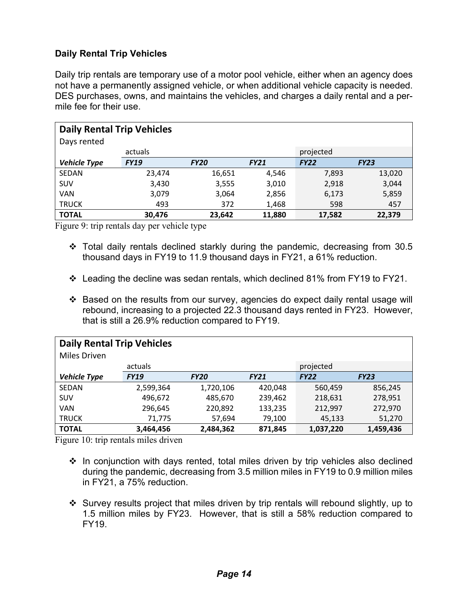#### <span id="page-13-0"></span>**Daily Rental Trip Vehicles**

Daily trip rentals are temporary use of a motor pool vehicle, either when an agency does not have a permanently assigned vehicle, or when additional vehicle capacity is needed. DES purchases, owns, and maintains the vehicles, and charges a daily rental and a permile fee for their use.

| <b>Daily Rental Trip Vehicles</b> |             |             |             |             |             |  |  |
|-----------------------------------|-------------|-------------|-------------|-------------|-------------|--|--|
| Days rented                       |             |             |             |             |             |  |  |
|                                   | actuals     |             |             | projected   |             |  |  |
| <b>Vehicle Type</b>               | <b>FY19</b> | <b>FY20</b> | <b>FY21</b> | <b>FY22</b> | <b>FY23</b> |  |  |
| SEDAN                             | 23,474      | 16,651      | 4,546       | 7,893       | 13,020      |  |  |
| SUV                               | 3,430       | 3,555       | 3,010       | 2,918       | 3,044       |  |  |
| <b>VAN</b>                        | 3,079       | 3,064       | 2,856       | 6,173       | 5,859       |  |  |
| <b>TRUCK</b>                      | 493         | 372         | 1,468       | 598         | 457         |  |  |
| <b>TOTAL</b>                      | 30,476      | 23,642      | 11,880      | 17,582      | 22,379      |  |  |

Figure 9: trip rentals day per vehicle type

- Total daily rentals declined starkly during the pandemic, decreasing from 30.5 thousand days in FY19 to 11.9 thousand days in FY21, a 61% reduction.
- $\cdot$  Leading the decline was sedan rentals, which declined 81% from FY19 to FY21.
- Based on the results from our survey, agencies do expect daily rental usage will rebound, increasing to a projected 22.3 thousand days rented in FY23. However, that is still a 26.9% reduction compared to FY19.

| <b>Daily Rental Trip Vehicles</b> |             |             |             |             |             |  |  |
|-----------------------------------|-------------|-------------|-------------|-------------|-------------|--|--|
| Miles Driven                      |             |             |             |             |             |  |  |
|                                   | actuals     |             |             | projected   |             |  |  |
| <b>Vehicle Type</b>               | <b>FY19</b> | <b>FY20</b> | <b>FY21</b> | <b>FY22</b> | <b>FY23</b> |  |  |
| SEDAN                             | 2,599,364   | 1,720,106   | 420,048     | 560,459     | 856,245     |  |  |
| <b>SUV</b>                        | 496,672     | 485,670     | 239,462     | 218,631     | 278,951     |  |  |
| <b>VAN</b>                        | 296,645     | 220,892     | 133,235     | 212,997     | 272,970     |  |  |
| <b>TRUCK</b>                      | 71,775      | 57,694      | 79,100      | 45,133      | 51,270      |  |  |
| <b>TOTAL</b>                      | 3,464,456   | 2,484,362   | 871,845     | 1,037,220   | 1,459,436   |  |  |

Figure 10: trip rentals miles driven

- $\div$  In conjunction with days rented, total miles driven by trip vehicles also declined during the pandemic, decreasing from 3.5 million miles in FY19 to 0.9 million miles in FY21, a 75% reduction.
- Survey results project that miles driven by trip rentals will rebound slightly, up to 1.5 million miles by FY23. However, that is still a 58% reduction compared to FY19.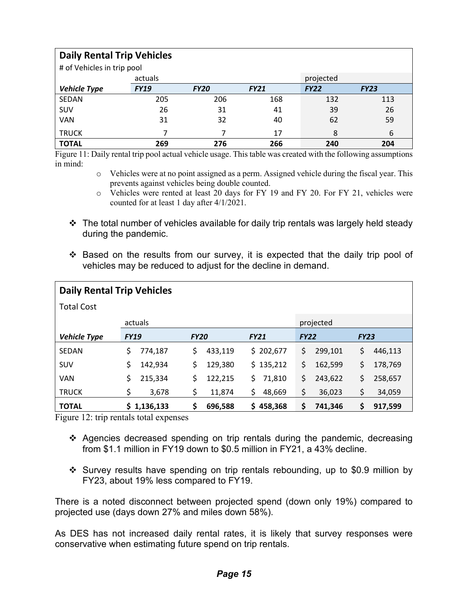| <b>Daily Rental Trip Vehicles</b> |             |             |             |             |             |  |  |
|-----------------------------------|-------------|-------------|-------------|-------------|-------------|--|--|
| # of Vehicles in trip pool        |             |             |             |             |             |  |  |
|                                   | actuals     |             |             | projected   |             |  |  |
| <b>Vehicle Type</b>               | <b>FY19</b> | <b>FY20</b> | <b>FY21</b> | <b>FY22</b> | <b>FY23</b> |  |  |
| SEDAN                             | 205         | 206         | 168         | 132         | 113         |  |  |
| SUV                               | 26          | 31          | 41          | 39          | 26          |  |  |
| VAN                               | 31          | 32          | 40          | 62          | 59          |  |  |
| <b>TRUCK</b>                      |             |             | 17          | 8           | 6           |  |  |
| <b>TOTAL</b>                      | 269         | 276         | 266         | 240         | 204         |  |  |

Figure 11: Daily rental trip pool actual vehicle usage. This table was created with the following assumptions in mind:

- $\circ$  Vehicles were at no point assigned as a perm. Assigned vehicle during the fiscal year. This prevents against vehicles being double counted.
- o Vehicles were rented at least 20 days for FY 19 and FY 20. For FY 21, vehicles were counted for at least 1 day after 4/1/2021.
- $\cdot$  The total number of vehicles available for daily trip rentals was largely held steady during the pandemic.
- Based on the results from our survey, it is expected that the daily trip pool of vehicles may be reduced to adjust for the decline in demand.

| <b>Daily Rental Trip Vehicles</b> |               |               |               |               |               |  |  |  |  |
|-----------------------------------|---------------|---------------|---------------|---------------|---------------|--|--|--|--|
| <b>Total Cost</b>                 |               |               |               |               |               |  |  |  |  |
|                                   | actuals       |               | projected     |               |               |  |  |  |  |
| <b>Vehicle Type</b>               | <b>FY19</b>   | <b>FY20</b>   | <b>FY21</b>   | <b>FY22</b>   | <b>FY23</b>   |  |  |  |  |
| <b>SEDAN</b>                      | \$<br>774,187 | \$<br>433,119 | \$202,677     | \$<br>299,101 | \$<br>446,113 |  |  |  |  |
| SUV                               | 142,934<br>\$ | 129,380<br>\$ | \$135,212     | \$<br>162,599 | \$<br>178,769 |  |  |  |  |
| <b>VAN</b>                        | 215,334<br>\$ | \$<br>122,215 | Ś<br>71,810   | \$<br>243,622 | \$<br>258,657 |  |  |  |  |
| <b>TRUCK</b>                      | \$<br>3,678   | \$<br>11,874  | \$<br>48,669  | \$<br>36,023  | \$<br>34,059  |  |  |  |  |
| <b>TOTAL</b>                      | \$1,136,133   | \$<br>696,588 | 458,368<br>S. | \$<br>741,346 | \$<br>917,599 |  |  |  |  |

Figure 12: trip rentals total expenses

- Agencies decreased spending on trip rentals during the pandemic, decreasing from \$1.1 million in FY19 down to \$0.5 million in FY21, a 43% decline.
- Survey results have spending on trip rentals rebounding, up to \$0.9 million by FY23, about 19% less compared to FY19.

There is a noted disconnect between projected spend (down only 19%) compared to projected use (days down 27% and miles down 58%).

As DES has not increased daily rental rates, it is likely that survey responses were conservative when estimating future spend on trip rentals.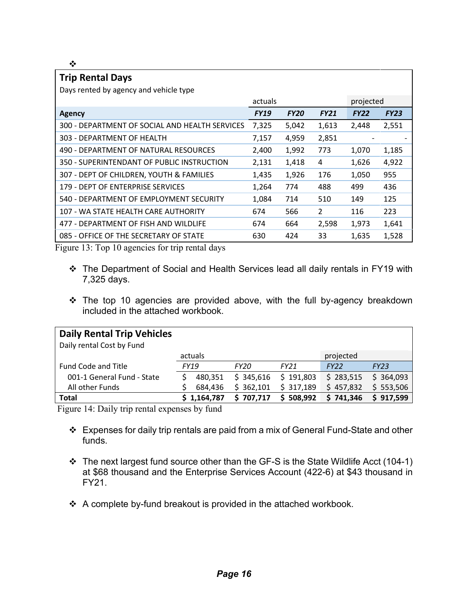$\frac{1}{2}$ 

| ™.                                                        |             |             |               |             |             |  |  |
|-----------------------------------------------------------|-------------|-------------|---------------|-------------|-------------|--|--|
| <b>Trip Rental Days</b>                                   |             |             |               |             |             |  |  |
| Days rented by agency and vehicle type                    |             |             |               |             |             |  |  |
|                                                           | actuals     |             |               |             | projected   |  |  |
| Agency                                                    | <b>FY19</b> | <b>FY20</b> | <b>FY21</b>   | <b>FY22</b> | <b>FY23</b> |  |  |
| 300 - DEPARTMENT OF SOCIAL AND HEALTH SERVICES            | 7,325       | 5,042       | 1,613         | 2,448       | 2,551       |  |  |
| 303 - DEPARTMENT OF HEALTH                                | 7,157       | 4,959       | 2,851         |             |             |  |  |
| 490 - DEPARTMENT OF NATURAL RESOURCES                     | 2,400       | 1,992       | 773           | 1,070       | 1,185       |  |  |
| 350 - SUPERINTENDANT OF PUBLIC INSTRUCTION                | 2,131       | 1,418       | 4             | 1,626       | 4,922       |  |  |
| 307 - DEPT OF CHILDREN, YOUTH & FAMILIES                  | 1,435       | 1,926       | 176           | 1,050       | 955         |  |  |
| 179 - DEPT OF ENTERPRISE SERVICES                         | 1,264       | 774         | 488           | 499         | 436         |  |  |
| 540 - DEPARTMENT OF EMPLOYMENT SECURITY                   | 1,084       | 714         | 510           | 149         | 125         |  |  |
| 107 - WA STATE HEALTH CARE AUTHORITY                      | 674         | 566         | $\mathcal{P}$ | 116         | 223         |  |  |
| 477 - DEPARTMENT OF FISH AND WILDLIFE                     | 674         | 664         | 2,598         | 1,973       | 1,641       |  |  |
| 085 - OFFICE OF THE SECRETARY OF STATE                    | 630         | 424         | 33            | 1,635       | 1,528       |  |  |
| $\cdot$ $\sim$ $\cdot$ $\cdot$<br>$\sim$ $\sim$<br>$\sim$ |             |             |               |             |             |  |  |

Figure 13: Top 10 agencies for trip rental days

- The Department of Social and Health Services lead all daily rentals in FY19 with 7,325 days.
- \* The top 10 agencies are provided above, with the full by-agency breakdown included in the attached workbook.

| <b>Daily Rental Trip Vehicles</b><br>Daily rental Cost by Fund |             |             |               |             |             |  |  |
|----------------------------------------------------------------|-------------|-------------|---------------|-------------|-------------|--|--|
|                                                                | actuals     |             |               | projected   |             |  |  |
| <b>Fund Code and Title</b>                                     | <b>FY19</b> | <b>FY20</b> | FY21          | <b>FY22</b> | <b>FY23</b> |  |  |
| 001-1 General Fund - State                                     | 480.351     | \$345,616   | \$191,803     | \$283,515   | \$364,093   |  |  |
| All other Funds                                                | 684,436     | \$362,101   | \$317,189     | \$457,832   | \$553,506   |  |  |
| <b>Total</b>                                                   | \$1,164,787 | \$707,717   | 508,992<br>S. | \$741,346   | \$917,599   |  |  |

Figure 14: Daily trip rental expenses by fund

- Expenses for daily trip rentals are paid from a mix of General Fund-State and other funds.
- The next largest fund source other than the GF-S is the State Wildlife Acct (104-1) at \$68 thousand and the Enterprise Services Account (422-6) at \$43 thousand in FY21.
- A complete by-fund breakout is provided in the attached workbook.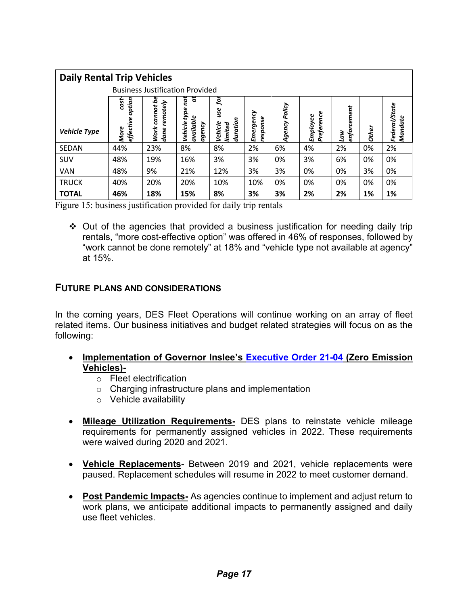| <b>Daily Rental Trip Vehicles</b> |                                        |                                          |                                                    |                                            |                      |               |                        |                    |              |                          |
|-----------------------------------|----------------------------------------|------------------------------------------|----------------------------------------------------|--------------------------------------------|----------------------|---------------|------------------------|--------------------|--------------|--------------------------|
|                                   | <b>Business Justification Provided</b> |                                          |                                                    |                                            |                      |               |                        |                    |              |                          |
| <b>Vehicle Type</b>               | option<br>cost<br>effective<br>More    | se<br>remotely<br>cannot<br>Work<br>done | ă<br>not<br>type<br>available<br>Vehicle<br>agency | ğ<br>use<br>duration<br>Vehicle<br>limited | Emergency<br>esponse | Agency Policy | Preference<br>Employee | enforcement<br>ιaw | <b>Other</b> | Federal/State<br>Mandate |
| SEDAN                             | 44%                                    | 23%                                      | 8%                                                 | 8%                                         | 2%                   | 6%            | 4%                     | 2%                 | 0%           | 2%                       |
| SUV                               | 48%                                    | 19%                                      | 16%                                                | 3%                                         | 3%                   | 0%            | 3%                     | 6%                 | 0%           | 0%                       |
| <b>VAN</b>                        | 48%                                    | 9%                                       | 21%                                                | 12%                                        | 3%                   | 3%            | 0%                     | 0%                 | 3%           | 0%                       |
| <b>TRUCK</b>                      | 40%                                    | 20%                                      | 20%                                                | 10%                                        | 10%                  | 0%            | 0%                     | 0%                 | 0%           | 0%                       |
| <b>TOTAL</b>                      | 46%                                    | 18%                                      | 15%                                                | 8%                                         | 3%                   | 3%            | 2%                     | 2%                 | 1%           | 1%                       |

Figure 15: business justification provided for daily trip rentals

• Out of the agencies that provided a business justification for needing daily trip rentals, "more cost-effective option" was offered in 46% of responses, followed by "work cannot be done remotely" at 18% and "vehicle type not available at agency" at 15%.

#### <span id="page-16-0"></span>**FUTURE PLANS AND CONSIDERATIONS**

In the coming years, DES Fleet Operations will continue working on an array of fleet related items. Our business initiatives and budget related strategies will focus on as the following:

- **Implementation of Governor Inslee's [Executive Order 21-04](https://www.governor.wa.gov/sites/default/files/21-04%20-%20Zero%20Emission%20Vehicles.pdf?utm_medium=email&utm_source=govdelivery) (Zero Emission Vehicles)**
	- o Fleet electrification
	- o Charging infrastructure plans and implementation
	- o Vehicle availability
- **Mileage Utilization Requirements-** DES plans to reinstate vehicle mileage requirements for permanently assigned vehicles in 2022. These requirements were waived during 2020 and 2021.
- **Vehicle Replacements** Between 2019 and 2021, vehicle replacements were paused. Replacement schedules will resume in 2022 to meet customer demand.
- **Post Pandemic Impacts-** As agencies continue to implement and adjust return to work plans, we anticipate additional impacts to permanently assigned and daily use fleet vehicles.